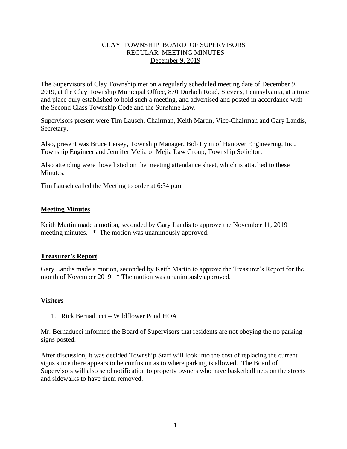# CLAY TOWNSHIP BOARD OF SUPERVISORS REGULAR MEETING MINUTES December 9, 2019

The Supervisors of Clay Township met on a regularly scheduled meeting date of December 9, 2019, at the Clay Township Municipal Office, 870 Durlach Road, Stevens, Pennsylvania, at a time and place duly established to hold such a meeting, and advertised and posted in accordance with the Second Class Township Code and the Sunshine Law.

Supervisors present were Tim Lausch, Chairman, Keith Martin, Vice-Chairman and Gary Landis, Secretary.

Also, present was Bruce Leisey, Township Manager, Bob Lynn of Hanover Engineering, Inc., Township Engineer and Jennifer Mejia of Mejia Law Group, Township Solicitor.

Also attending were those listed on the meeting attendance sheet, which is attached to these **Minutes** 

Tim Lausch called the Meeting to order at 6:34 p.m.

## **Meeting Minutes**

Keith Martin made a motion, seconded by Gary Landis to approve the November 11, 2019 meeting minutes. \* The motion was unanimously approved.

## **Treasurer's Report**

Gary Landis made a motion, seconded by Keith Martin to approve the Treasurer's Report for the month of November 2019. \* The motion was unanimously approved.

# **Visitors**

1. Rick Bernaducci – Wildflower Pond HOA

Mr. Bernaducci informed the Board of Supervisors that residents are not obeying the no parking signs posted.

After discussion, it was decided Township Staff will look into the cost of replacing the current signs since there appears to be confusion as to where parking is allowed. The Board of Supervisors will also send notification to property owners who have basketball nets on the streets and sidewalks to have them removed.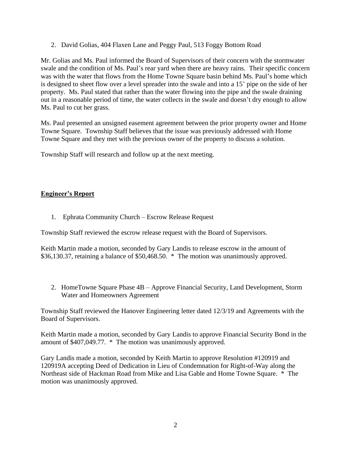2. David Golias, 404 Flaxen Lane and Peggy Paul, 513 Foggy Bottom Road

Mr. Golias and Ms. Paul informed the Board of Supervisors of their concern with the stormwater swale and the condition of Ms. Paul's rear yard when there are heavy rains. Their specific concern was with the water that flows from the Home Towne Square basin behind Ms. Paul's home which is designed to sheet flow over a level spreader into the swale and into a 15' pipe on the side of her property. Ms. Paul stated that rather than the water flowing into the pipe and the swale draining out in a reasonable period of time, the water collects in the swale and doesn't dry enough to allow Ms. Paul to cut her grass.

Ms. Paul presented an unsigned easement agreement between the prior property owner and Home Towne Square. Township Staff believes that the issue was previously addressed with Home Towne Square and they met with the previous owner of the property to discuss a solution.

Township Staff will research and follow up at the next meeting.

# **Engineer's Report**

1. Ephrata Community Church – Escrow Release Request

Township Staff reviewed the escrow release request with the Board of Supervisors.

Keith Martin made a motion, seconded by Gary Landis to release escrow in the amount of \$36,130.37, retaining a balance of \$50,468.50. \* The motion was unanimously approved.

2. HomeTowne Square Phase 4B – Approve Financial Security, Land Development, Storm Water and Homeowners Agreement

Township Staff reviewed the Hanover Engineering letter dated 12/3/19 and Agreements with the Board of Supervisors.

Keith Martin made a motion, seconded by Gary Landis to approve Financial Security Bond in the amount of \$407,049.77. \* The motion was unanimously approved.

Gary Landis made a motion, seconded by Keith Martin to approve Resolution #120919 and 120919A accepting Deed of Dedication in Lieu of Condemnation for Right-of-Way along the Northeast side of Hackman Road from Mike and Lisa Gable and Home Towne Square. \* The motion was unanimously approved.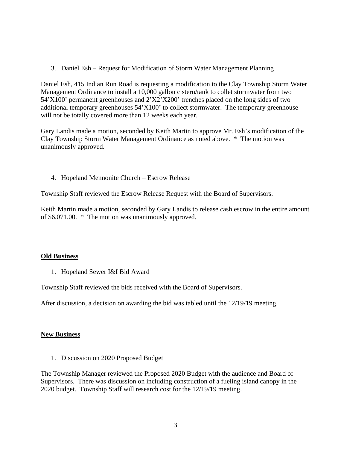3. Daniel Esh – Request for Modification of Storm Water Management Planning

Daniel Esh, 415 Indian Run Road is requesting a modification to the Clay Township Storm Water Management Ordinance to install a 10,000 gallon cistern/tank to collet stormwater from two 54'X100' permanent greenhouses and 2'X2'X200' trenches placed on the long sides of two additional temporary greenhouses 54'X100' to collect stormwater. The temporary greenhouse will not be totally covered more than 12 weeks each year.

Gary Landis made a motion, seconded by Keith Martin to approve Mr. Esh's modification of the Clay Township Storm Water Management Ordinance as noted above. \* The motion was unanimously approved.

4. Hopeland Mennonite Church – Escrow Release

Township Staff reviewed the Escrow Release Request with the Board of Supervisors.

Keith Martin made a motion, seconded by Gary Landis to release cash escrow in the entire amount of \$6,071.00. \* The motion was unanimously approved.

## **Old Business**

1. Hopeland Sewer I&I Bid Award

Township Staff reviewed the bids received with the Board of Supervisors.

After discussion, a decision on awarding the bid was tabled until the 12/19/19 meeting.

## **New Business**

1. Discussion on 2020 Proposed Budget

The Township Manager reviewed the Proposed 2020 Budget with the audience and Board of Supervisors. There was discussion on including construction of a fueling island canopy in the 2020 budget. Township Staff will research cost for the 12/19/19 meeting.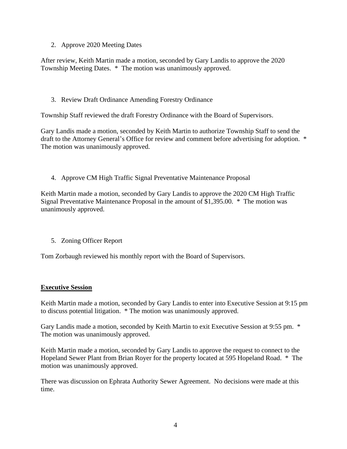2. Approve 2020 Meeting Dates

After review, Keith Martin made a motion, seconded by Gary Landis to approve the 2020 Township Meeting Dates. \* The motion was unanimously approved.

# 3. Review Draft Ordinance Amending Forestry Ordinance

Township Staff reviewed the draft Forestry Ordinance with the Board of Supervisors.

Gary Landis made a motion, seconded by Keith Martin to authorize Township Staff to send the draft to the Attorney General's Office for review and comment before advertising for adoption. \* The motion was unanimously approved.

4. Approve CM High Traffic Signal Preventative Maintenance Proposal

Keith Martin made a motion, seconded by Gary Landis to approve the 2020 CM High Traffic Signal Preventative Maintenance Proposal in the amount of \$1,395.00. \* The motion was unanimously approved.

5. Zoning Officer Report

Tom Zorbaugh reviewed his monthly report with the Board of Supervisors.

## **Executive Session**

Keith Martin made a motion, seconded by Gary Landis to enter into Executive Session at 9:15 pm to discuss potential litigation. \* The motion was unanimously approved.

Gary Landis made a motion, seconded by Keith Martin to exit Executive Session at 9:55 pm.  $*$ The motion was unanimously approved.

Keith Martin made a motion, seconded by Gary Landis to approve the request to connect to the Hopeland Sewer Plant from Brian Royer for the property located at 595 Hopeland Road. \* The motion was unanimously approved.

There was discussion on Ephrata Authority Sewer Agreement. No decisions were made at this time.